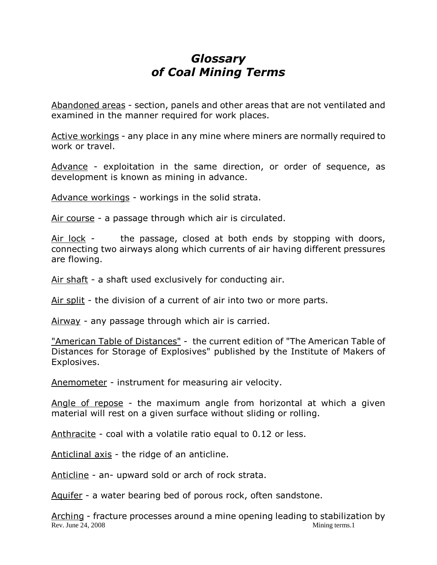## *Glossary of Coal Mining Terms*

Abandoned areas - section, panels and other areas that are not ventilated and examined in the manner required for work places.

Active workings - any place in any mine where miners are normally required to work or travel.

Advance - exploitation in the same direction, or order of sequence, as development is known as mining in advance.

Advance workings - workings in the solid strata.

Air course - a passage through which air is circulated.

Air lock - the passage, closed at both ends by stopping with doors, connecting two airways along which currents of air having different pressures are flowing.

Air shaft - a shaft used exclusively for conducting air.

Air split - the division of a current of air into two or more parts.

Airway - any passage through which air is carried.

"American Table of Distances" - the current edition of "The American Table of Distances for Storage of Explosives" published by the Institute of Makers of Explosives.

Anemometer - instrument for measuring air velocity.

Angle of repose - the maximum angle from horizontal at which a given material will rest on a given surface without sliding or rolling.

Anthracite - coal with a volatile ratio equal to 0.12 or less.

Anticlinal axis - the ridge of an anticline.

Anticline - an- upward sold or arch of rock strata.

Aquifer - a water bearing bed of porous rock, often sandstone.

Rev. June 24, 2008 Mining terms. 1 Arching - fracture processes around a mine opening leading to stabilization by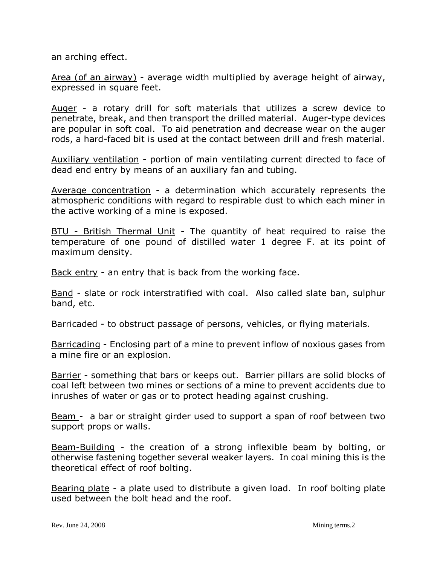an arching effect.

Area (of an airway) - average width multiplied by average height of airway, expressed in square feet.

Auger - a rotary drill for soft materials that utilizes a screw device to penetrate, break, and then transport the drilled material. Auger-type devices are popular in soft coal. To aid penetration and decrease wear on the auger rods, a hard-faced bit is used at the contact between drill and fresh material.

Auxiliary ventilation - portion of main ventilating current directed to face of dead end entry by means of an auxiliary fan and tubing.

Average concentration - a determination which accurately represents the atmospheric conditions with regard to respirable dust to which each miner in the active working of a mine is exposed.

BTU - British Thermal Unit - The quantity of heat required to raise the temperature of one pound of distilled water 1 degree F. at its point of maximum density.

Back entry - an entry that is back from the working face.

Band - slate or rock interstratified with coal. Also called slate ban, sulphur band, etc.

Barricaded - to obstruct passage of persons, vehicles, or flying materials.

Barricading - Enclosing part of a mine to prevent inflow of noxious gases from a mine fire or an explosion.

Barrier - something that bars or keeps out. Barrier pillars are solid blocks of coal left between two mines or sections of a mine to prevent accidents due to inrushes of water or gas or to protect heading against crushing.

Beam - a bar or straight girder used to support a span of roof between two support props or walls.

Beam-Building - the creation of a strong inflexible beam by bolting, or otherwise fastening together several weaker layers. In coal mining this is the theoretical effect of roof bolting.

Bearing plate - a plate used to distribute a given load. In roof bolting plate used between the bolt head and the roof.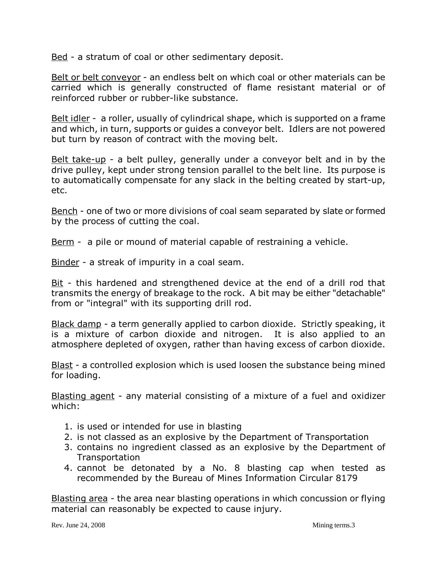Bed - a stratum of coal or other sedimentary deposit.

Belt or belt conveyor - an endless belt on which coal or other materials can be carried which is generally constructed of flame resistant material or of reinforced rubber or rubber-like substance.

Belt idler - a roller, usually of cylindrical shape, which is supported on a frame and which, in turn, supports or guides a conveyor belt. Idlers are not powered but turn by reason of contract with the moving belt.

Belt take-up - a belt pulley, generally under a conveyor belt and in by the drive pulley, kept under strong tension parallel to the belt line. Its purpose is to automatically compensate for any slack in the belting created by start-up, etc.

Bench - one of two or more divisions of coal seam separated by slate or formed by the process of cutting the coal.

Berm - a pile or mound of material capable of restraining a vehicle.

Binder - a streak of impurity in a coal seam.

Bit - this hardened and strengthened device at the end of a drill rod that transmits the energy of breakage to the rock. A bit may be either "detachable" from or "integral" with its supporting drill rod.

Black damp - a term generally applied to carbon dioxide. Strictly speaking, it is a mixture of carbon dioxide and nitrogen. It is also applied to an atmosphere depleted of oxygen, rather than having excess of carbon dioxide.

Blast - a controlled explosion which is used loosen the substance being mined for loading.

Blasting agent - any material consisting of a mixture of a fuel and oxidizer which:

- 1. is used or intended for use in blasting
- 2. is not classed as an explosive by the Department of Transportation
- 3. contains no ingredient classed as an explosive by the Department of **Transportation**
- 4. cannot be detonated by a No. 8 blasting cap when tested as recommended by the Bureau of Mines Information Circular 8179

Blasting area - the area near blasting operations in which concussion or flying material can reasonably be expected to cause injury.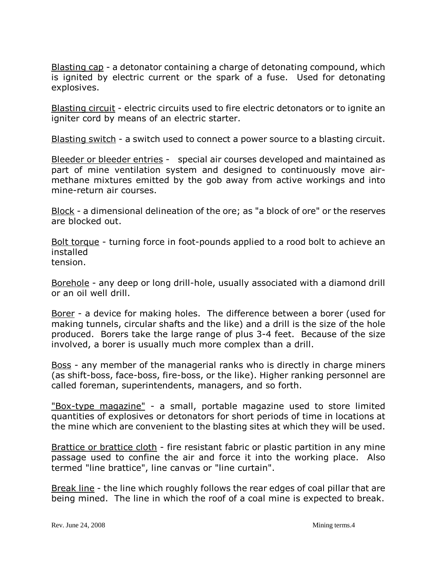Blasting cap - a detonator containing a charge of detonating compound, which is ignited by electric current or the spark of a fuse. Used for detonating explosives.

Blasting circuit - electric circuits used to fire electric detonators or to ignite an igniter cord by means of an electric starter.

Blasting switch - a switch used to connect a power source to a blasting circuit.

Bleeder or bleeder entries - special air courses developed and maintained as part of mine ventilation system and designed to continuously move airmethane mixtures emitted by the gob away from active workings and into mine-return air courses.

Block - a dimensional delineation of the ore; as "a block of ore" or the reserves are blocked out.

Bolt torque - turning force in foot-pounds applied to a rood bolt to achieve an installed

tension.

Borehole - any deep or long drill-hole, usually associated with a diamond drill or an oil well drill.

Borer - a device for making holes. The difference between a borer (used for making tunnels, circular shafts and the like) and a drill is the size of the hole produced. Borers take the large range of plus 3-4 feet. Because of the size involved, a borer is usually much more complex than a drill.

Boss - any member of the managerial ranks who is directly in charge miners (as shift-boss, face-boss, fire-boss, or the like). Higher ranking personnel are called foreman, superintendents, managers, and so forth.

"Box-type magazine" - a small, portable magazine used to store limited quantities of explosives or detonators for short periods of time in locations at the mine which are convenient to the blasting sites at which they will be used.

Brattice or brattice cloth - fire resistant fabric or plastic partition in any mine passage used to confine the air and force it into the working place. Also termed "line brattice", line canvas or "line curtain".

Break line - the line which roughly follows the rear edges of coal pillar that are being mined. The line in which the roof of a coal mine is expected to break.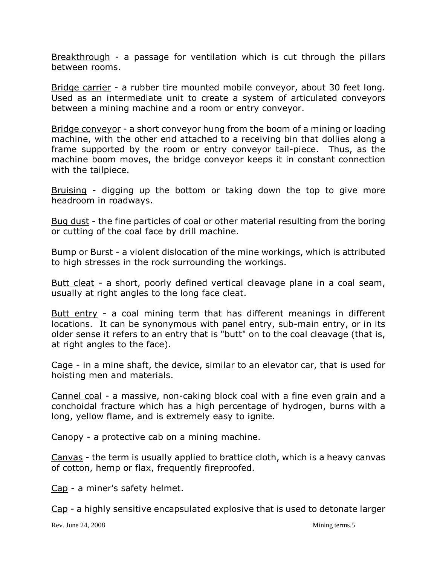Breakthrough - a passage for ventilation which is cut through the pillars between rooms.

Bridge carrier - a rubber tire mounted mobile conveyor, about 30 feet long. Used as an intermediate unit to create a system of articulated conveyors between a mining machine and a room or entry conveyor.

Bridge conveyor - a short conveyor hung from the boom of a mining or loading machine, with the other end attached to a receiving bin that dollies along a frame supported by the room or entry conveyor tail-piece. Thus, as the machine boom moves, the bridge conveyor keeps it in constant connection with the tailpiece.

Bruising - digging up the bottom or taking down the top to give more headroom in roadways.

Bug dust - the fine particles of coal or other material resulting from the boring or cutting of the coal face by drill machine.

Bump or Burst - a violent dislocation of the mine workings, which is attributed to high stresses in the rock surrounding the workings.

Butt cleat - a short, poorly defined vertical cleavage plane in a coal seam, usually at right angles to the long face cleat.

Butt entry - a coal mining term that has different meanings in different locations. It can be synonymous with panel entry, sub-main entry, or in its older sense it refers to an entry that is "butt" on to the coal cleavage (that is, at right angles to the face).

Cage - in a mine shaft, the device, similar to an elevator car, that is used for hoisting men and materials.

Cannel coal - a massive, non-caking block coal with a fine even grain and a conchoidal fracture which has a high percentage of hydrogen, burns with a long, yellow flame, and is extremely easy to ignite.

Canopy - a protective cab on a mining machine.

Canvas - the term is usually applied to brattice cloth, which is a heavy canvas of cotton, hemp or flax, frequently fireproofed.

Cap - a miner's safety helmet.

Cap - a highly sensitive encapsulated explosive that is used to detonate larger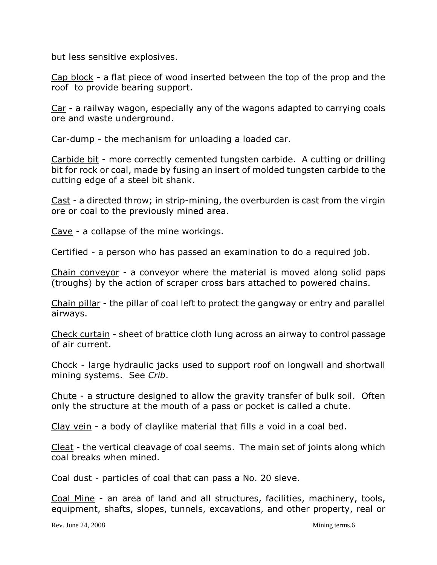but less sensitive explosives.

Cap block - a flat piece of wood inserted between the top of the prop and the roof to provide bearing support.

Car - a railway wagon, especially any of the wagons adapted to carrying coals ore and waste underground.

Car-dump - the mechanism for unloading a loaded car.

Carbide bit - more correctly cemented tungsten carbide. A cutting or drilling bit for rock or coal, made by fusing an insert of molded tungsten carbide to the cutting edge of a steel bit shank.

Cast - a directed throw; in strip-mining, the overburden is cast from the virgin ore or coal to the previously mined area.

Cave - a collapse of the mine workings.

Certified - a person who has passed an examination to do a required job.

Chain conveyor - a conveyor where the material is moved along solid paps (troughs) by the action of scraper cross bars attached to powered chains.

Chain pillar - the pillar of coal left to protect the gangway or entry and parallel airways.

Check curtain - sheet of brattice cloth lung across an airway to control passage of air current.

Chock - large hydraulic jacks used to support roof on longwall and shortwall mining systems. See *Crib*.

Chute - a structure designed to allow the gravity transfer of bulk soil. Often only the structure at the mouth of a pass or pocket is called a chute.

Clay vein - a body of claylike material that fills a void in a coal bed.

Cleat - the vertical cleavage of coal seems. The main set of joints along which coal breaks when mined.

Coal dust - particles of coal that can pass a No. 20 sieve.

Coal Mine - an area of land and all structures, facilities, machinery, tools, equipment, shafts, slopes, tunnels, excavations, and other property, real or

Rev. June 24, 2008 Mining terms.6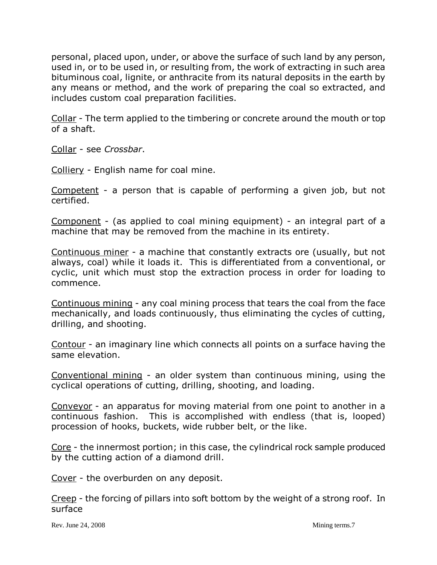personal, placed upon, under, or above the surface of such land by any person, used in, or to be used in, or resulting from, the work of extracting in such area bituminous coal, lignite, or anthracite from its natural deposits in the earth by any means or method, and the work of preparing the coal so extracted, and includes custom coal preparation facilities.

Collar - The term applied to the timbering or concrete around the mouth or top of a shaft.

Collar - see *Crossbar*.

Colliery - English name for coal mine.

Competent - a person that is capable of performing a given job, but not certified.

Component - (as applied to coal mining equipment) - an integral part of a machine that may be removed from the machine in its entirety.

Continuous miner - a machine that constantly extracts ore (usually, but not always, coal) while it loads it. This is differentiated from a conventional, or cyclic, unit which must stop the extraction process in order for loading to commence.

Continuous mining - any coal mining process that tears the coal from the face mechanically, and loads continuously, thus eliminating the cycles of cutting, drilling, and shooting.

Contour - an imaginary line which connects all points on a surface having the same elevation.

Conventional mining - an older system than continuous mining, using the cyclical operations of cutting, drilling, shooting, and loading.

Conveyor - an apparatus for moving material from one point to another in a continuous fashion. This is accomplished with endless (that is, looped) procession of hooks, buckets, wide rubber belt, or the like.

Core - the innermost portion; in this case, the cylindrical rock sample produced by the cutting action of a diamond drill.

Cover - the overburden on any deposit.

Creep - the forcing of pillars into soft bottom by the weight of a strong roof. In surface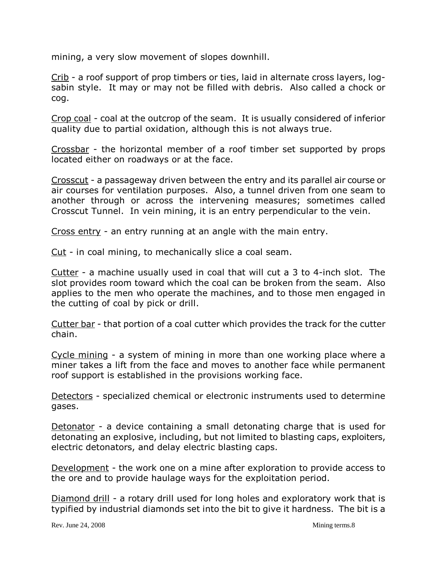mining, a very slow movement of slopes downhill.

Crib - a roof support of prop timbers or ties, laid in alternate cross layers, logsabin style. It may or may not be filled with debris. Also called a chock or cog.

Crop coal - coal at the outcrop of the seam. It is usually considered of inferior quality due to partial oxidation, although this is not always true.

Crossbar - the horizontal member of a roof timber set supported by props located either on roadways or at the face.

Crosscut - a passageway driven between the entry and its parallel air course or air courses for ventilation purposes. Also, a tunnel driven from one seam to another through or across the intervening measures; sometimes called Crosscut Tunnel. In vein mining, it is an entry perpendicular to the vein.

Cross entry - an entry running at an angle with the main entry.

Cut - in coal mining, to mechanically slice a coal seam.

Cutter - a machine usually used in coal that will cut a 3 to 4-inch slot. The slot provides room toward which the coal can be broken from the seam. Also applies to the men who operate the machines, and to those men engaged in the cutting of coal by pick or drill.

Cutter bar - that portion of a coal cutter which provides the track for the cutter chain.

Cycle mining - a system of mining in more than one working place where a miner takes a lift from the face and moves to another face while permanent roof support is established in the provisions working face.

Detectors - specialized chemical or electronic instruments used to determine gases.

Detonator - a device containing a small detonating charge that is used for detonating an explosive, including, but not limited to blasting caps, exploiters, electric detonators, and delay electric blasting caps.

Development - the work one on a mine after exploration to provide access to the ore and to provide haulage ways for the exploitation period.

Diamond drill - a rotary drill used for long holes and exploratory work that is typified by industrial diamonds set into the bit to give it hardness. The bit is a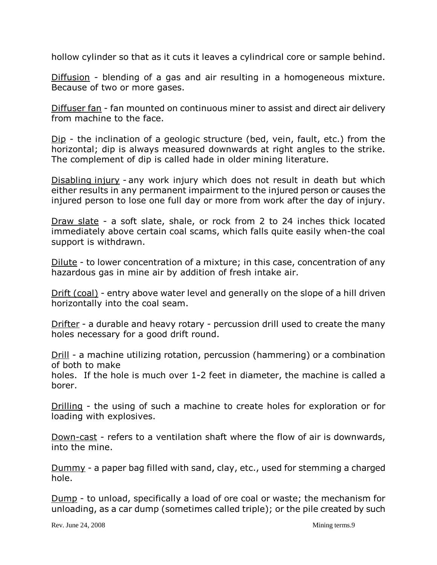hollow cylinder so that as it cuts it leaves a cylindrical core or sample behind.

Diffusion - blending of a gas and air resulting in a homogeneous mixture. Because of two or more gases.

Diffuser fan - fan mounted on continuous miner to assist and direct air delivery from machine to the face.

Dip - the inclination of a geologic structure (bed, vein, fault, etc.) from the horizontal; dip is always measured downwards at right angles to the strike. The complement of dip is called hade in older mining literature.

Disabling injury - any work injury which does not result in death but which either results in any permanent impairment to the injured person or causes the injured person to lose one full day or more from work after the day of injury.

Draw slate - a soft slate, shale, or rock from 2 to 24 inches thick located immediately above certain coal scams, which falls quite easily when-the coal support is withdrawn.

Dilute - to lower concentration of a mixture; in this case, concentration of any hazardous gas in mine air by addition of fresh intake air.

Drift (coal) - entry above water level and generally on the slope of a hill driven horizontally into the coal seam.

Drifter - a durable and heavy rotary - percussion drill used to create the many holes necessary for a good drift round.

Drill - a machine utilizing rotation, percussion (hammering) or a combination of both to make

holes. If the hole is much over 1-2 feet in diameter, the machine is called a borer.

Drilling - the using of such a machine to create holes for exploration or for loading with explosives.

Down-cast - refers to a ventilation shaft where the flow of air is downwards, into the mine.

Dummy - a paper bag filled with sand, clay, etc., used for stemming a charged hole.

Dump - to unload, specifically a load of ore coal or waste; the mechanism for unloading, as a car dump (sometimes called triple); or the pile created by such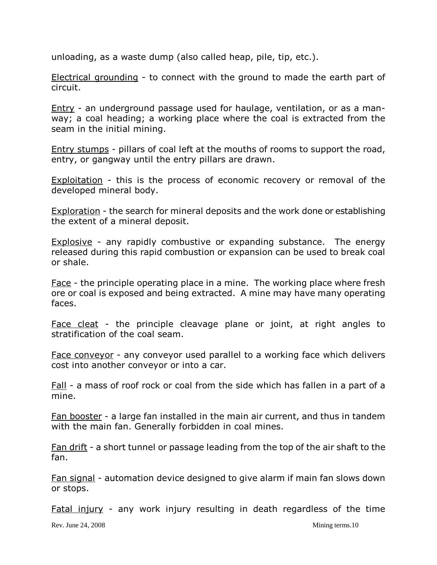unloading, as a waste dump (also called heap, pile, tip, etc.).

Electrical grounding - to connect with the ground to made the earth part of circuit.

Entry - an underground passage used for haulage, ventilation, or as a manway; a coal heading; a working place where the coal is extracted from the seam in the initial mining.

Entry stumps - pillars of coal left at the mouths of rooms to support the road, entry, or gangway until the entry pillars are drawn.

Exploitation - this is the process of economic recovery or removal of the developed mineral body.

Exploration - the search for mineral deposits and the work done or establishing the extent of a mineral deposit.

Explosive - any rapidly combustive or expanding substance. The energy released during this rapid combustion or expansion can be used to break coal or shale.

Face - the principle operating place in a mine. The working place where fresh ore or coal is exposed and being extracted. A mine may have many operating faces.

Face cleat - the principle cleavage plane or joint, at right angles to stratification of the coal seam.

Face conveyor - any conveyor used parallel to a working face which delivers cost into another conveyor or into a car.

Fall - a mass of roof rock or coal from the side which has fallen in a part of a mine.

Fan booster - a large fan installed in the main air current, and thus in tandem with the main fan. Generally forbidden in coal mines.

Fan drift - a short tunnel or passage leading from the top of the air shaft to the fan.

Fan signal - automation device designed to give alarm if main fan slows down or stops.

Fatal injury - any work injury resulting in death regardless of the time

Rev. June 24, 2008 Mining terms.10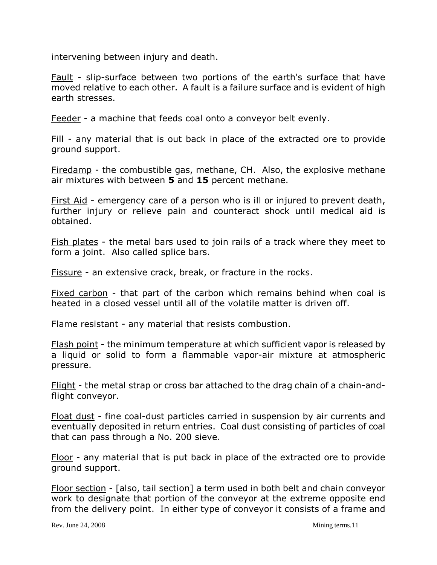intervening between injury and death.

Fault - slip-surface between two portions of the earth's surface that have moved relative to each other. A fault is a failure surface and is evident of high earth stresses.

Feeder - a machine that feeds coal onto a conveyor belt evenly.

Fill - any material that is out back in place of the extracted ore to provide ground support.

Firedamp - the combustible gas, methane, CH. Also, the explosive methane air mixtures with between **5** and **15** percent methane.

First Aid - emergency care of a person who is ill or injured to prevent death, further injury or relieve pain and counteract shock until medical aid is obtained.

Fish plates - the metal bars used to join rails of a track where they meet to form a joint. Also called splice bars.

Fissure - an extensive crack, break, or fracture in the rocks.

Fixed carbon - that part of the carbon which remains behind when coal is heated in a closed vessel until all of the volatile matter is driven off.

Flame resistant - any material that resists combustion.

Flash point - the minimum temperature at which sufficient vapor is released by a liquid or solid to form a flammable vapor-air mixture at atmospheric pressure.

Flight - the metal strap or cross bar attached to the drag chain of a chain-andflight conveyor.

Float dust - fine coal-dust particles carried in suspension by air currents and eventually deposited in return entries. Coal dust consisting of particles of coal that can pass through a No. 200 sieve.

Floor - any material that is put back in place of the extracted ore to provide ground support.

Floor section - [also, tail section] a term used in both belt and chain conveyor work to designate that portion of the conveyor at the extreme opposite end from the delivery point. In either type of conveyor it consists of a frame and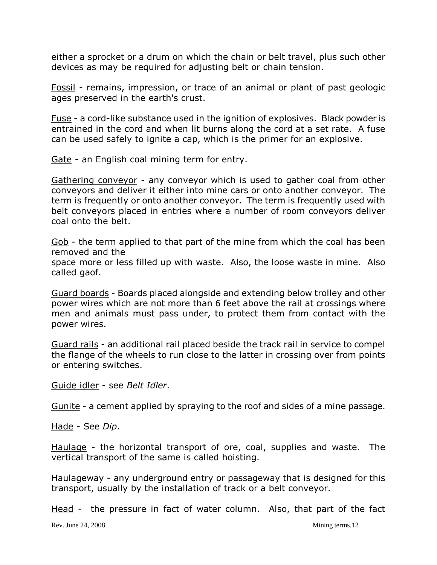either a sprocket or a drum on which the chain or belt travel, plus such other devices as may be required for adjusting belt or chain tension.

Fossil - remains, impression, or trace of an animal or plant of past geologic ages preserved in the earth's crust.

Fuse - a cord-like substance used in the ignition of explosives. Black powder is entrained in the cord and when lit burns along the cord at a set rate. A fuse can be used safely to ignite a cap, which is the primer for an explosive.

Gate - an English coal mining term for entry.

Gathering conveyor - any conveyor which is used to gather coal from other conveyors and deliver it either into mine cars or onto another conveyor. The term is frequently or onto another conveyor. The term is frequently used with belt conveyors placed in entries where a number of room conveyors deliver coal onto the belt.

Gob - the term applied to that part of the mine from which the coal has been removed and the

space more or less filled up with waste. Also, the loose waste in mine. Also called gaof.

Guard boards - Boards placed alongside and extending below trolley and other power wires which are not more than 6 feet above the rail at crossings where men and animals must pass under, to protect them from contact with the power wires.

Guard rails - an additional rail placed beside the track rail in service to compel the flange of the wheels to run close to the latter in crossing over from points or entering switches.

Guide idler - see *Belt Idler*.

Gunite - a cement applied by spraying to the roof and sides of a mine passage.

Hade - See *Dip*.

Haulage - the horizontal transport of ore, coal, supplies and waste. The vertical transport of the same is called hoisting.

Haulageway - any underground entry or passageway that is designed for this transport, usually by the installation of track or a belt conveyor.

Head - the pressure in fact of water column. Also, that part of the fact

Rev. June 24, 2008 Mining terms.12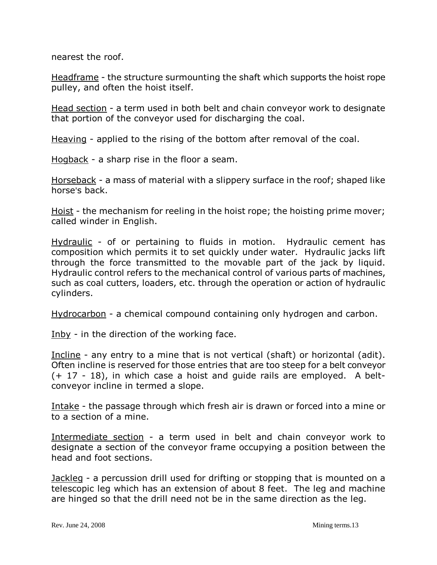nearest the roof.

Headframe - the structure surmounting the shaft which supports the hoist rope pulley, and often the hoist itself.

Head section - a term used in both belt and chain conveyor work to designate that portion of the conveyor used for discharging the coal.

Heaving - applied to the rising of the bottom after removal of the coal.

Hogback - a sharp rise in the floor a seam.

Horseback - a mass of material with a slippery surface in the roof; shaped like horse's back.

Hoist - the mechanism for reeling in the hoist rope; the hoisting prime mover; called winder in English.

Hydraulic - of or pertaining to fluids in motion. Hydraulic cement has composition which permits it to set quickly under water. Hydraulic jacks lift through the force transmitted to the movable part of the jack by liquid. Hydraulic control refers to the mechanical control of various parts of machines, such as coal cutters, loaders, etc. through the operation or action of hydraulic cylinders.

Hydrocarbon - a chemical compound containing only hydrogen and carbon.

Inby - in the direction of the working face.

Incline - any entry to a mine that is not vertical (shaft) or horizontal (adit). Often incline is reserved for those entries that are too steep for a belt conveyor (+ 17 - 18), in which case a hoist and guide rails are employed. A beltconveyor incline in termed a slope.

Intake - the passage through which fresh air is drawn or forced into a mine or to a section of a mine.

Intermediate section - a term used in belt and chain conveyor work to designate a section of the conveyor frame occupying a position between the head and foot sections.

Jackleg - a percussion drill used for drifting or stopping that is mounted on a telescopic leg which has an extension of about 8 feet. The leg and machine are hinged so that the drill need not be in the same direction as the leg.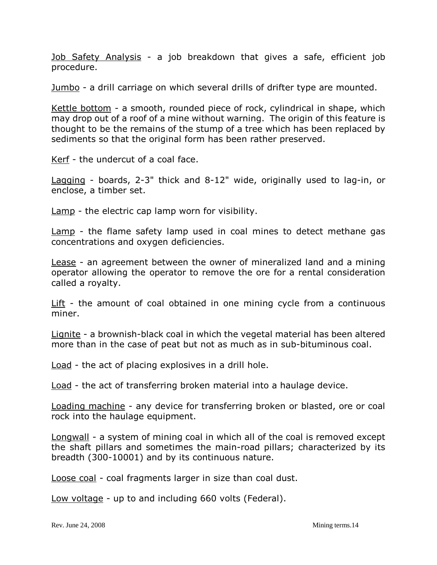Job Safety Analysis - a job breakdown that gives a safe, efficient job procedure.

Jumbo - a drill carriage on which several drills of drifter type are mounted.

Kettle bottom - a smooth, rounded piece of rock, cylindrical in shape, which may drop out of a roof of a mine without warning. The origin of this feature is thought to be the remains of the stump of a tree which has been replaced by sediments so that the original form has been rather preserved.

Kerf - the undercut of a coal face.

Lagging - boards, 2-3" thick and 8-12" wide, originally used to lag-in, or enclose, a timber set.

Lamp - the electric cap lamp worn for visibility.

Lamp - the flame safety lamp used in coal mines to detect methane gas concentrations and oxygen deficiencies.

Lease - an agreement between the owner of mineralized land and a mining operator allowing the operator to remove the ore for a rental consideration called a royalty.

Lift - the amount of coal obtained in one mining cycle from a continuous miner.

Lignite - a brownish-black coal in which the vegetal material has been altered more than in the case of peat but not as much as in sub-bituminous coal.

Load - the act of placing explosives in a drill hole.

Load - the act of transferring broken material into a haulage device.

Loading machine - any device for transferring broken or blasted, ore or coal rock into the haulage equipment.

Longwall - a system of mining coal in which all of the coal is removed except the shaft pillars and sometimes the main-road pillars; characterized by its breadth (300-10001) and by its continuous nature.

Loose coal - coal fragments larger in size than coal dust.

Low voltage - up to and including 660 volts (Federal).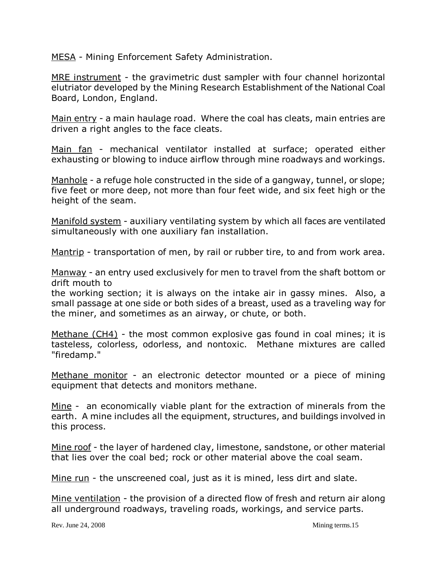MESA - Mining Enforcement Safety Administration.

MRE instrument - the gravimetric dust sampler with four channel horizontal elutriator developed by the Mining Research Establishment of the National Coal Board, London, England.

Main entry - a main haulage road. Where the coal has cleats, main entries are driven a right angles to the face cleats.

Main fan - mechanical ventilator installed at surface; operated either exhausting or blowing to induce airflow through mine roadways and workings.

Manhole - a refuge hole constructed in the side of a gangway, tunnel, or slope; five feet or more deep, not more than four feet wide, and six feet high or the height of the seam.

Manifold system - auxiliary ventilating system by which all faces are ventilated simultaneously with one auxiliary fan installation.

Mantrip - transportation of men, by rail or rubber tire, to and from work area.

Manway - an entry used exclusively for men to travel from the shaft bottom or drift mouth to

the working section; it is always on the intake air in gassy mines. Also, a small passage at one side or both sides of a breast, used as a traveling way for the miner, and sometimes as an airway, or chute, or both.

Methane (CH4) - the most common explosive gas found in coal mines; it is tasteless, colorless, odorless, and nontoxic. Methane mixtures are called "firedamp."

Methane monitor - an electronic detector mounted or a piece of mining equipment that detects and monitors methane.

Mine - an economically viable plant for the extraction of minerals from the earth. A mine includes all the equipment, structures, and buildings involved in this process.

Mine roof - the layer of hardened clay, limestone, sandstone, or other material that lies over the coal bed; rock or other material above the coal seam.

Mine run - the unscreened coal, just as it is mined, less dirt and slate.

Mine ventilation - the provision of a directed flow of fresh and return air along all underground roadways, traveling roads, workings, and service parts.

Rev. June 24, 2008 Mining terms.15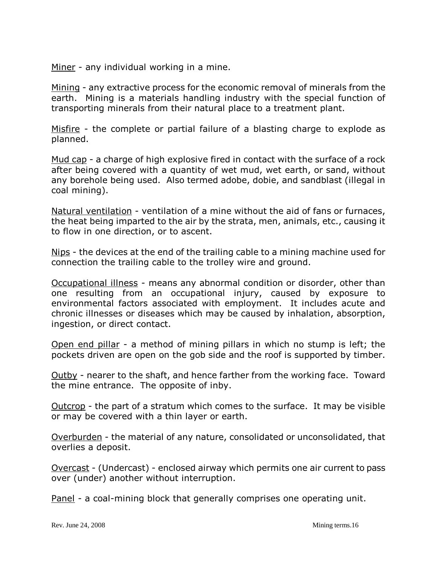Miner - any individual working in a mine.

Mining - any extractive process for the economic removal of minerals from the earth. Mining is a materials handling industry with the special function of transporting minerals from their natural place to a treatment plant.

Misfire - the complete or partial failure of a blasting charge to explode as planned.

Mud cap - a charge of high explosive fired in contact with the surface of a rock after being covered with a quantity of wet mud, wet earth, or sand, without any borehole being used. Also termed adobe, dobie, and sandblast (illegal in coal mining).

Natural ventilation - ventilation of a mine without the aid of fans or furnaces, the heat being imparted to the air by the strata, men, animals, etc., causing it to flow in one direction, or to ascent.

Nips - the devices at the end of the trailing cable to a mining machine used for connection the trailing cable to the trolley wire and ground.

Occupational illness - means any abnormal condition or disorder, other than one resulting from an occupational injury, caused by exposure to environmental factors associated with employment. It includes acute and chronic illnesses or diseases which may be caused by inhalation, absorption, ingestion, or direct contact.

Open end pillar - a method of mining pillars in which no stump is left; the pockets driven are open on the gob side and the roof is supported by timber.

Outby - nearer to the shaft, and hence farther from the working face. Toward the mine entrance. The opposite of inby.

Outcrop - the part of a stratum which comes to the surface. It may be visible or may be covered with a thin layer or earth.

Overburden - the material of any nature, consolidated or unconsolidated, that overlies a deposit.

Overcast - (Undercast) - enclosed airway which permits one air current to pass over (under) another without interruption.

Panel - a coal-mining block that generally comprises one operating unit.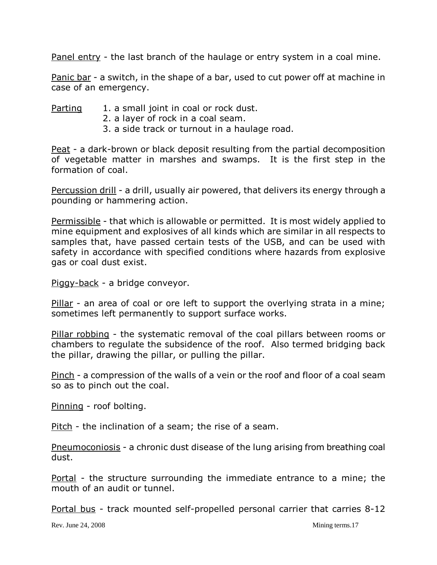Panel entry - the last branch of the haulage or entry system in a coal mine.

Panic bar - a switch, in the shape of a bar, used to cut power off at machine in case of an emergency.

Parting 1. a small joint in coal or rock dust.

- 2. a layer of rock in a coal seam.
- 3. a side track or turnout in a haulage road.

Peat - a dark-brown or black deposit resulting from the partial decomposition of vegetable matter in marshes and swamps. It is the first step in the formation of coal.

Percussion drill - a drill, usually air powered, that delivers its energy through a pounding or hammering action.

Permissible - that which is allowable or permitted. It is most widely applied to mine equipment and explosives of all kinds which are similar in all respects to samples that, have passed certain tests of the USB, and can be used with safety in accordance with specified conditions where hazards from explosive gas or coal dust exist.

Piggy-back - a bridge conveyor.

Pillar - an area of coal or ore left to support the overlying strata in a mine; sometimes left permanently to support surface works.

Pillar robbing - the systematic removal of the coal pillars between rooms or chambers to regulate the subsidence of the roof. Also termed bridging back the pillar, drawing the pillar, or pulling the pillar.

Pinch - a compression of the walls of a vein or the roof and floor of a coal seam so as to pinch out the coal.

Pinning - roof bolting.

Pitch - the inclination of a seam; the rise of a seam.

Pneumoconiosis - a chronic dust disease of the lung arising from breathing coal dust.

Portal - the structure surrounding the immediate entrance to a mine; the mouth of an audit or tunnel.

Portal bus - track mounted self-propelled personal carrier that carries 8-12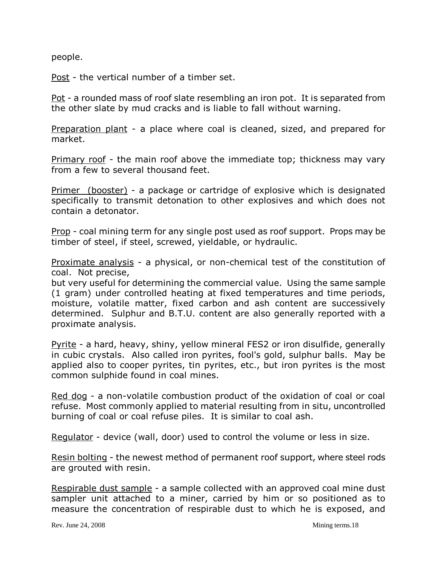people.

Post - the vertical number of a timber set.

Pot - a rounded mass of roof slate resembling an iron pot. It is separated from the other slate by mud cracks and is liable to fall without warning.

Preparation plant - a place where coal is cleaned, sized, and prepared for market.

Primary roof - the main roof above the immediate top; thickness may vary from a few to several thousand feet.

Primer (booster) - a package or cartridge of explosive which is designated specifically to transmit detonation to other explosives and which does not contain a detonator.

Prop - coal mining term for any single post used as roof support. Props may be timber of steel, if steel, screwed, yieldable, or hydraulic.

Proximate analysis - a physical, or non-chemical test of the constitution of coal. Not precise,

but very useful for determining the commercial value. Using the same sample (1 gram) under controlled heating at fixed temperatures and time periods, moisture, volatile matter, fixed carbon and ash content are successively determined. Sulphur and B.T.U. content are also generally reported with a proximate analysis.

Pyrite - a hard, heavy, shiny, yellow mineral FES2 or iron disulfide, generally in cubic crystals. Also called iron pyrites, fool's gold, sulphur balls. May be applied also to cooper pyrites, tin pyrites, etc., but iron pyrites is the most common sulphide found in coal mines.

Red dog - a non-volatile combustion product of the oxidation of coal or coal refuse. Most commonly applied to material resulting from in situ, uncontrolled burning of coal or coal refuse piles. It is similar to coal ash.

Regulator - device (wall, door) used to control the volume or less in size.

Resin bolting - the newest method of permanent roof support, where steel rods are grouted with resin.

Respirable dust sample - a sample collected with an approved coal mine dust sampler unit attached to a miner, carried by him or so positioned as to measure the concentration of respirable dust to which he is exposed, and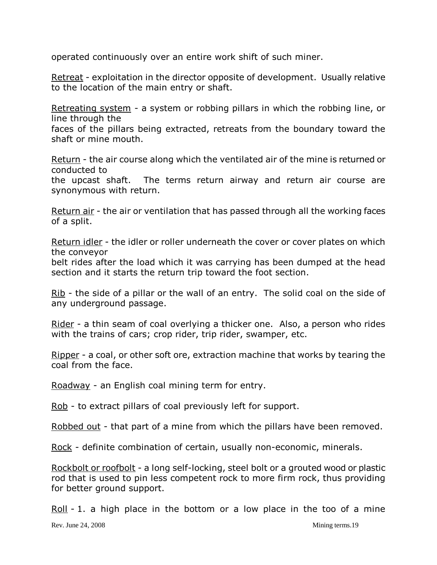operated continuously over an entire work shift of such miner.

Retreat - exploitation in the director opposite of development. Usually relative to the location of the main entry or shaft.

Retreating system - a system or robbing pillars in which the robbing line, or line through the

faces of the pillars being extracted, retreats from the boundary toward the shaft or mine mouth.

Return - the air course along which the ventilated air of the mine is returned or conducted to

the upcast shaft. The terms return airway and return air course are synonymous with return.

Return air - the air or ventilation that has passed through all the working faces of a split.

Return idler - the idler or roller underneath the cover or cover plates on which the conveyor

belt rides after the load which it was carrying has been dumped at the head section and it starts the return trip toward the foot section.

Rib - the side of a pillar or the wall of an entry. The solid coal on the side of any underground passage.

Rider - a thin seam of coal overlying a thicker one. Also, a person who rides with the trains of cars; crop rider, trip rider, swamper, etc.

Ripper - a coal, or other soft ore, extraction machine that works by tearing the coal from the face.

Roadway - an English coal mining term for entry.

Rob - to extract pillars of coal previously left for support.

Robbed out - that part of a mine from which the pillars have been removed.

Rock - definite combination of certain, usually non-economic, minerals.

Rockbolt or roofbolt - a long self-locking, steel bolt or a grouted wood or plastic rod that is used to pin less competent rock to more firm rock, thus providing for better ground support.

Roll - 1. a high place in the bottom or a low place in the too of a mine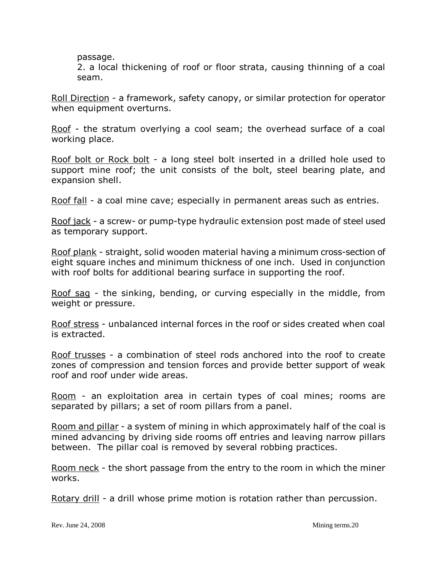passage.

2. a local thickening of roof or floor strata, causing thinning of a coal seam.

Roll Direction - a framework, safety canopy, or similar protection for operator when equipment overturns.

Roof - the stratum overlying a cool seam; the overhead surface of a coal working place.

Roof bolt or Rock bolt - a long steel bolt inserted in a drilled hole used to support mine roof; the unit consists of the bolt, steel bearing plate, and expansion shell.

Roof fall - a coal mine cave; especially in permanent areas such as entries.

Roof jack - a screw- or pump-type hydraulic extension post made of steel used as temporary support.

Roof plank - straight, solid wooden material having a minimum cross-section of eight square inches and minimum thickness of one inch. Used in conjunction with roof bolts for additional bearing surface in supporting the roof.

Roof sag - the sinking, bending, or curving especially in the middle, from weight or pressure.

Roof stress - unbalanced internal forces in the roof or sides created when coal is extracted.

Roof trusses - a combination of steel rods anchored into the roof to create zones of compression and tension forces and provide better support of weak roof and roof under wide areas.

Room - an exploitation area in certain types of coal mines; rooms are separated by pillars; a set of room pillars from a panel.

Room and pillar - a system of mining in which approximately half of the coal is mined advancing by driving side rooms off entries and leaving narrow pillars between. The pillar coal is removed by several robbing practices.

Room neck - the short passage from the entry to the room in which the miner works.

Rotary drill - a drill whose prime motion is rotation rather than percussion.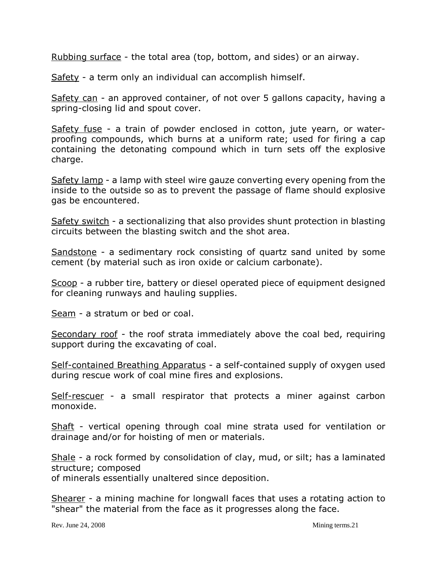Rubbing surface - the total area (top, bottom, and sides) or an airway.

Safety - a term only an individual can accomplish himself.

Safety can - an approved container, of not over 5 gallons capacity, having a spring-closing lid and spout cover.

Safety fuse - a train of powder enclosed in cotton, jute yearn, or waterproofing compounds, which burns at a uniform rate; used for firing a cap containing the detonating compound which in turn sets off the explosive charge.

Safety lamp - a lamp with steel wire gauze converting every opening from the inside to the outside so as to prevent the passage of flame should explosive gas be encountered.

Safety switch - a sectionalizing that also provides shunt protection in blasting circuits between the blasting switch and the shot area.

Sandstone - a sedimentary rock consisting of quartz sand united by some cement (by material such as iron oxide or calcium carbonate).

Scoop - a rubber tire, battery or diesel operated piece of equipment designed for cleaning runways and hauling supplies.

Seam - a stratum or bed or coal.

Secondary roof - the roof strata immediately above the coal bed, requiring support during the excavating of coal.

Self-contained Breathing Apparatus - a self-contained supply of oxygen used during rescue work of coal mine fires and explosions.

Self-rescuer - a small respirator that protects a miner against carbon monoxide.

Shaft - vertical opening through coal mine strata used for ventilation or drainage and/or for hoisting of men or materials.

Shale - a rock formed by consolidation of clay, mud, or silt; has a laminated structure; composed of minerals essentially unaltered since deposition.

Shearer - a mining machine for longwall faces that uses a rotating action to "shear" the material from the face as it progresses along the face.

Rev. June 24, 2008 Mining terms. 21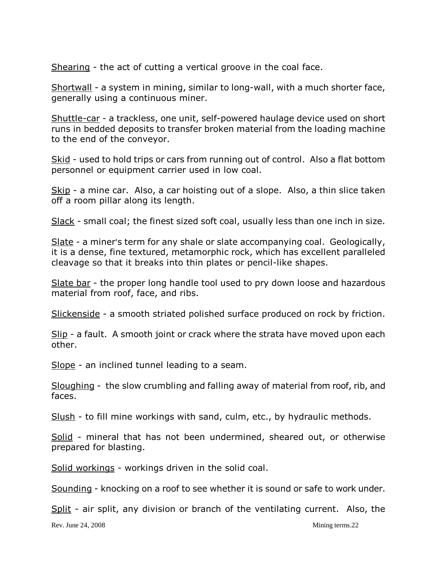Shearing - the act of cutting a vertical groove in the coal face.

Shortwall - a system in mining, similar to long-wall, with a much shorter face, generally using a continuous miner.

Shuttle-car - a trackless, one unit, self-powered haulage device used on short runs in bedded deposits to transfer broken material from the loading machine to the end of the conveyor.

Skid - used to hold trips or cars from running out of control. Also a flat bottom personnel or equipment carrier used in low coal.

Skip - a mine car. Also, a car hoisting out of a slope. Also, a thin slice taken off a room pillar along its length.

Slack - small coal; the finest sized soft coal, usually less than one inch in size.

Slate - a miner's term for any shale or slate accompanying coal. Geologically, it is a dense, fine textured, metamorphic rock, which has excellent paralleled cleavage so that it breaks into thin plates or pencil-like shapes.

Slate bar - the proper long handle tool used to pry down loose and hazardous material from roof, face, and ribs.

Slickenside - a smooth striated polished surface produced on rock by friction.

Slip - a fault. A smooth joint or crack where the strata have moved upon each other.

Slope - an inclined tunnel leading to a seam.

Sloughing - the slow crumbling and falling away of material from roof, rib, and faces.

Slush - to fill mine workings with sand, culm, etc., by hydraulic methods.

Solid - mineral that has not been undermined, sheared out, or otherwise prepared for blasting.

Solid workings - workings driven in the solid coal.

Sounding - knocking on a roof to see whether it is sound or safe to work under.

Split - air split, any division or branch of the ventilating current. Also, the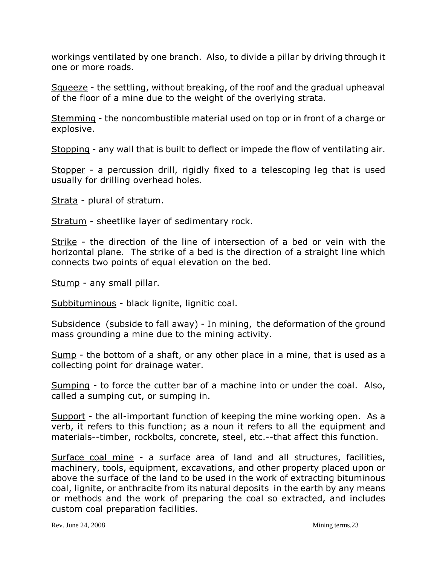workings ventilated by one branch. Also, to divide a pillar by driving through it one or more roads.

Squeeze - the settling, without breaking, of the roof and the gradual upheaval of the floor of a mine due to the weight of the overlying strata.

Stemming - the noncombustible material used on top or in front of a charge or explosive.

Stopping - any wall that is built to deflect or impede the flow of ventilating air.

Stopper - a percussion drill, rigidly fixed to a telescoping leg that is used usually for drilling overhead holes.

Strata - plural of stratum.

Stratum - sheetlike layer of sedimentary rock.

Strike - the direction of the line of intersection of a bed or vein with the horizontal plane. The strike of a bed is the direction of a straight line which connects two points of equal elevation on the bed.

Stump - any small pillar.

Subbituminous - black lignite, lignitic coal.

Subsidence (subside to fall away) - In mining, the deformation of the ground mass grounding a mine due to the mining activity.

Sump - the bottom of a shaft, or any other place in a mine, that is used as a collecting point for drainage water.

Sumping - to force the cutter bar of a machine into or under the coal. Also, called a sumping cut, or sumping in.

Support - the all-important function of keeping the mine working open. As a verb, it refers to this function; as a noun it refers to all the equipment and materials--timber, rockbolts, concrete, steel, etc.--that affect this function.

Surface coal mine - a surface area of land and all structures, facilities, machinery, tools, equipment, excavations, and other property placed upon or above the surface of the land to be used in the work of extracting bituminous coal, lignite, or anthracite from its natural deposits in the earth by any means or methods and the work of preparing the coal so extracted, and includes custom coal preparation facilities.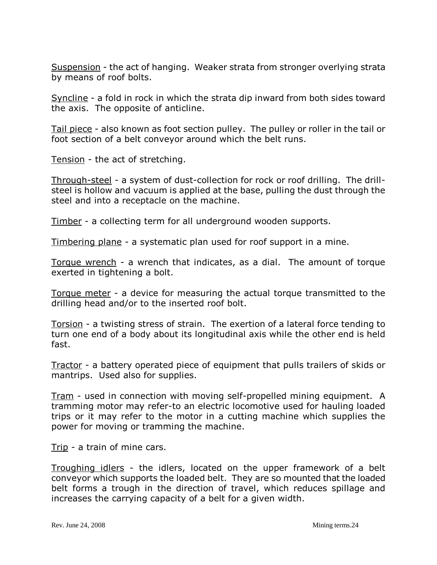Suspension - the act of hanging. Weaker strata from stronger overlying strata by means of roof bolts.

Syncline - a fold in rock in which the strata dip inward from both sides toward the axis. The opposite of anticline.

Tail piece - also known as foot section pulley. The pulley or roller in the tail or foot section of a belt conveyor around which the belt runs.

Tension - the act of stretching.

Through-steel - a system of dust-collection for rock or roof drilling. The drillsteel is hollow and vacuum is applied at the base, pulling the dust through the steel and into a receptacle on the machine.

Timber - a collecting term for all underground wooden supports.

Timbering plane - a systematic plan used for roof support in a mine.

Torque wrench - a wrench that indicates, as a dial. The amount of torque exerted in tightening a bolt.

Torque meter - a device for measuring the actual torque transmitted to the drilling head and/or to the inserted roof bolt.

Torsion - a twisting stress of strain. The exertion of a lateral force tending to turn one end of a body about its longitudinal axis while the other end is held fast.

Tractor - a battery operated piece of equipment that pulls trailers of skids or mantrips. Used also for supplies.

Tram - used in connection with moving self-propelled mining equipment. A tramming motor may refer-to an electric locomotive used for hauling loaded trips or it may refer to the motor in a cutting machine which supplies the power for moving or tramming the machine.

Trip - a train of mine cars.

Troughing idlers - the idlers, located on the upper framework of a belt conveyor which supports the loaded belt. They are so mounted that the loaded belt forms a trough in the direction of travel, which reduces spillage and increases the carrying capacity of a belt for a given width.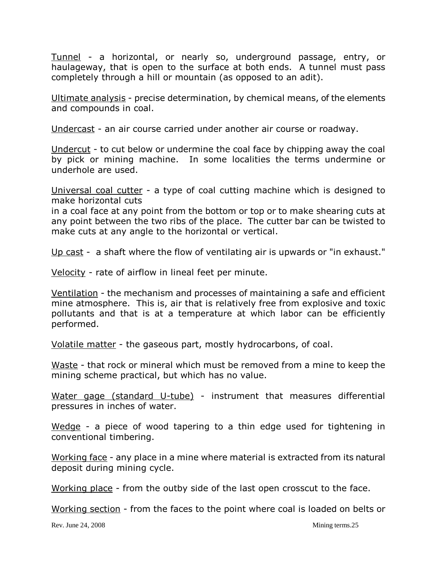Tunnel - a horizontal, or nearly so, underground passage, entry, or haulageway, that is open to the surface at both ends. A tunnel must pass completely through a hill or mountain (as opposed to an adit).

Ultimate analysis - precise determination, by chemical means, of the elements and compounds in coal.

Undercast - an air course carried under another air course or roadway.

Undercut - to cut below or undermine the coal face by chipping away the coal by pick or mining machine. In some localities the terms undermine or underhole are used.

Universal coal cutter - a type of coal cutting machine which is designed to make horizontal cuts

in a coal face at any point from the bottom or top or to make shearing cuts at any point between the two ribs of the place. The cutter bar can be twisted to make cuts at any angle to the horizontal or vertical.

Up cast - a shaft where the flow of ventilating air is upwards or "in exhaust."

Velocity - rate of airflow in lineal feet per minute.

Ventilation - the mechanism and processes of maintaining a safe and efficient mine atmosphere. This is, air that is relatively free from explosive and toxic pollutants and that is at a temperature at which labor can be efficiently performed.

Volatile matter - the gaseous part, mostly hydrocarbons, of coal.

Waste - that rock or mineral which must be removed from a mine to keep the mining scheme practical, but which has no value.

Water gage (standard U-tube) - instrument that measures differential pressures in inches of water.

Wedge - a piece of wood tapering to a thin edge used for tightening in conventional timbering.

Working face - any place in a mine where material is extracted from its natural deposit during mining cycle.

Working place - from the outby side of the last open crosscut to the face.

Working section - from the faces to the point where coal is loaded on belts or